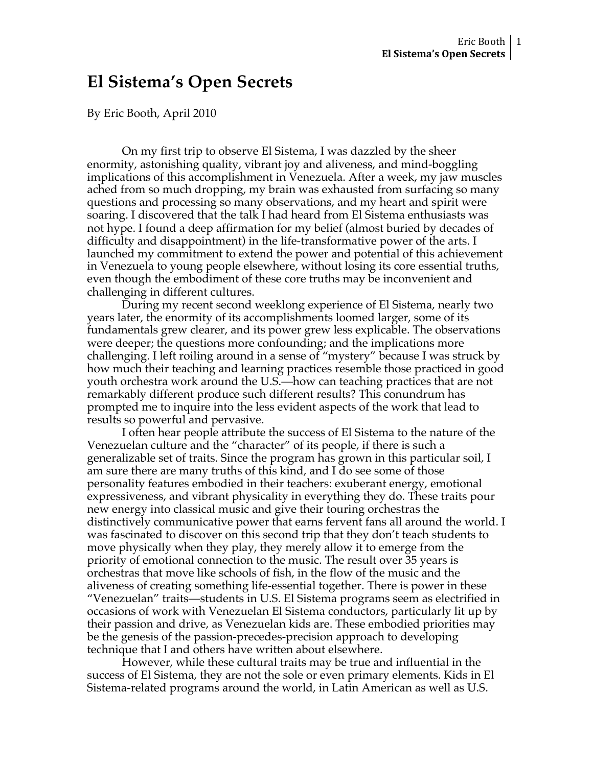# **El Sistema's Open Secrets**

By Eric Booth, April 2010

On my first trip to observe El Sistema, I was dazzled by the sheer enormity, astonishing quality, vibrant joy and aliveness, and mind-boggling implications of this accomplishment in Venezuela. After a week, my jaw muscles ached from so much dropping, my brain was exhausted from surfacing so many questions and processing so many observations, and my heart and spirit were soaring. I discovered that the talk I had heard from El Sistema enthusiasts was not hype. I found a deep affirmation for my belief (almost buried by decades of difficulty and disappointment) in the life-transformative power of the arts. I launched my commitment to extend the power and potential of this achievement in Venezuela to young people elsewhere, without losing its core essential truths, even though the embodiment of these core truths may be inconvenient and challenging in different cultures.

During my recent second weeklong experience of El Sistema, nearly two years later, the enormity of its accomplishments loomed larger, some of its fundamentals grew clearer, and its power grew less explicable. The observations were deeper; the questions more confounding; and the implications more challenging. I left roiling around in a sense of "mystery" because I was struck by how much their teaching and learning practices resemble those practiced in good youth orchestra work around the U.S.—how can teaching practices that are not remarkably different produce such different results? This conundrum has prompted me to inquire into the less evident aspects of the work that lead to results so powerful and pervasive.

I often hear people attribute the success of El Sistema to the nature of the Venezuelan culture and the "character" of its people, if there is such a generalizable set of traits. Since the program has grown in this particular soil, I am sure there are many truths of this kind, and I do see some of those personality features embodied in their teachers: exuberant energy, emotional expressiveness, and vibrant physicality in everything they do. These traits pour new energy into classical music and give their touring orchestras the distinctively communicative power that earns fervent fans all around the world. I was fascinated to discover on this second trip that they don't teach students to move physically when they play, they merely allow it to emerge from the priority of emotional connection to the music. The result over 35 years is orchestras that move like schools of fish, in the flow of the music and the aliveness of creating something life-essential together. There is power in these "Venezuelan" traits—students in U.S. El Sistema programs seem as electrified in occasions of work with Venezuelan El Sistema conductors, particularly lit up by their passion and drive, as Venezuelan kids are. These embodied priorities may be the genesis of the passion-precedes-precision approach to developing technique that I and others have written about elsewhere.

However, while these cultural traits may be true and influential in the success of El Sistema, they are not the sole or even primary elements. Kids in El Sistema-related programs around the world, in Latin American as well as U.S.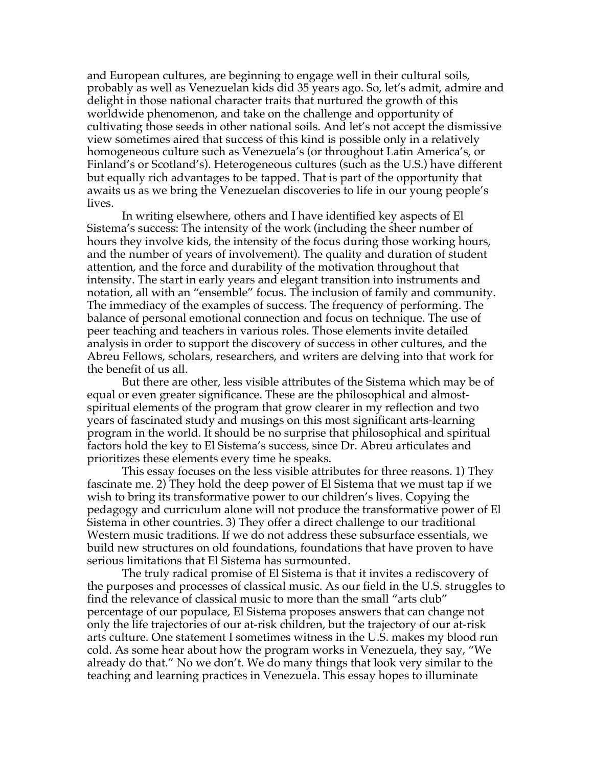and European cultures, are beginning to engage well in their cultural soils, probably as well as Venezuelan kids did 35 years ago. So, let's admit, admire and delight in those national character traits that nurtured the growth of this worldwide phenomenon, and take on the challenge and opportunity of cultivating those seeds in other national soils. And let's not accept the dismissive view sometimes aired that success of this kind is possible only in a relatively homogeneous culture such as Venezuela's (or throughout Latin America's, or Finland's or Scotland's). Heterogeneous cultures (such as the U.S.) have different but equally rich advantages to be tapped. That is part of the opportunity that awaits us as we bring the Venezuelan discoveries to life in our young people's lives.

In writing elsewhere, others and I have identified key aspects of El Sistema's success: The intensity of the work (including the sheer number of hours they involve kids, the intensity of the focus during those working hours, and the number of years of involvement). The quality and duration of student attention, and the force and durability of the motivation throughout that intensity. The start in early years and elegant transition into instruments and notation, all with an "ensemble" focus. The inclusion of family and community. The immediacy of the examples of success. The frequency of performing. The balance of personal emotional connection and focus on technique. The use of peer teaching and teachers in various roles. Those elements invite detailed analysis in order to support the discovery of success in other cultures, and the Abreu Fellows, scholars, researchers, and writers are delving into that work for the benefit of us all.

But there are other, less visible attributes of the Sistema which may be of equal or even greater significance. These are the philosophical and almostspiritual elements of the program that grow clearer in my reflection and two years of fascinated study and musings on this most significant arts-learning program in the world. It should be no surprise that philosophical and spiritual factors hold the key to El Sistema's success, since Dr. Abreu articulates and prioritizes these elements every time he speaks.

This essay focuses on the less visible attributes for three reasons. 1) They fascinate me. 2) They hold the deep power of El Sistema that we must tap if we wish to bring its transformative power to our children's lives. Copying the pedagogy and curriculum alone will not produce the transformative power of El Sistema in other countries. 3) They offer a direct challenge to our traditional Western music traditions. If we do not address these subsurface essentials, we build new structures on old foundations, foundations that have proven to have serious limitations that El Sistema has surmounted.

The truly radical promise of El Sistema is that it invites a rediscovery of the purposes and processes of classical music. As our field in the U.S. struggles to find the relevance of classical music to more than the small "arts club" percentage of our populace, El Sistema proposes answers that can change not only the life trajectories of our at-risk children, but the trajectory of our at-risk arts culture. One statement I sometimes witness in the U.S. makes my blood run cold. As some hear about how the program works in Venezuela, they say, "We already do that." No we don't. We do many things that look very similar to the teaching and learning practices in Venezuela. This essay hopes to illuminate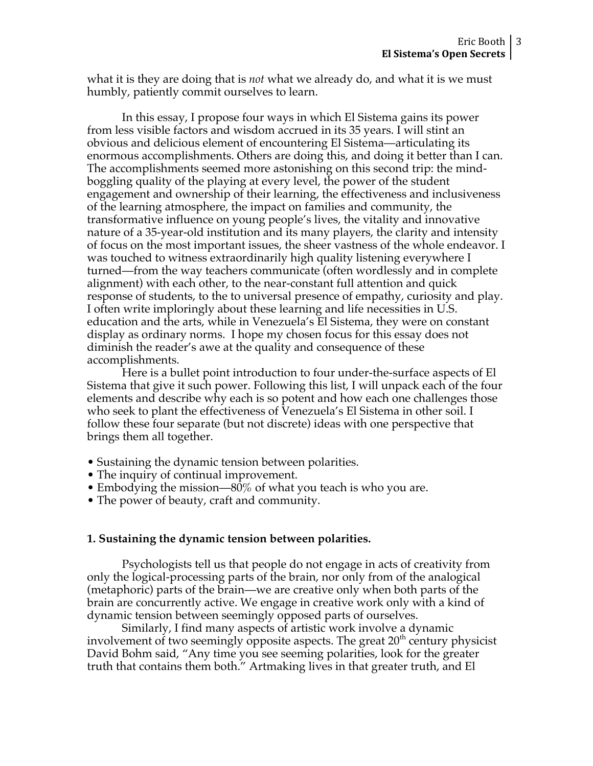what it is they are doing that is *not* what we already do, and what it is we must humbly, patiently commit ourselves to learn.

In this essay, I propose four ways in which El Sistema gains its power from less visible factors and wisdom accrued in its 35 years. I will stint an obvious and delicious element of encountering El Sistema—articulating its enormous accomplishments. Others are doing this, and doing it better than I can. The accomplishments seemed more astonishing on this second trip: the mindboggling quality of the playing at every level, the power of the student engagement and ownership of their learning, the effectiveness and inclusiveness of the learning atmosphere, the impact on families and community, the transformative influence on young people's lives, the vitality and innovative nature of a 35-year-old institution and its many players, the clarity and intensity of focus on the most important issues, the sheer vastness of the whole endeavor. I was touched to witness extraordinarily high quality listening everywhere I turned—from the way teachers communicate (often wordlessly and in complete alignment) with each other, to the near-constant full attention and quick response of students, to the to universal presence of empathy, curiosity and play. I often write imploringly about these learning and life necessities in U.S. education and the arts, while in Venezuela's El Sistema, they were on constant display as ordinary norms. I hope my chosen focus for this essay does not diminish the reader's awe at the quality and consequence of these accomplishments.

Here is a bullet point introduction to four under-the-surface aspects of El Sistema that give it such power. Following this list, I will unpack each of the four elements and describe why each is so potent and how each one challenges those who seek to plant the effectiveness of Venezuela's El Sistema in other soil. I follow these four separate (but not discrete) ideas with one perspective that brings them all together.

- Sustaining the dynamic tension between polarities.
- The inquiry of continual improvement.
- Embodying the mission—80% of what you teach is who you are.
- The power of beauty, craft and community.

### **1. Sustaining the dynamic tension between polarities.**

Psychologists tell us that people do not engage in acts of creativity from only the logical-processing parts of the brain, nor only from of the analogical (metaphoric) parts of the brain—we are creative only when both parts of the brain are concurrently active. We engage in creative work only with a kind of dynamic tension between seemingly opposed parts of ourselves.

Similarly, I find many aspects of artistic work involve a dynamic involvement of two seemingly opposite aspects. The great  $20<sup>th</sup>$  century physicist David Bohm said, "Any time you see seeming polarities, look for the greater truth that contains them both." Artmaking lives in that greater truth, and El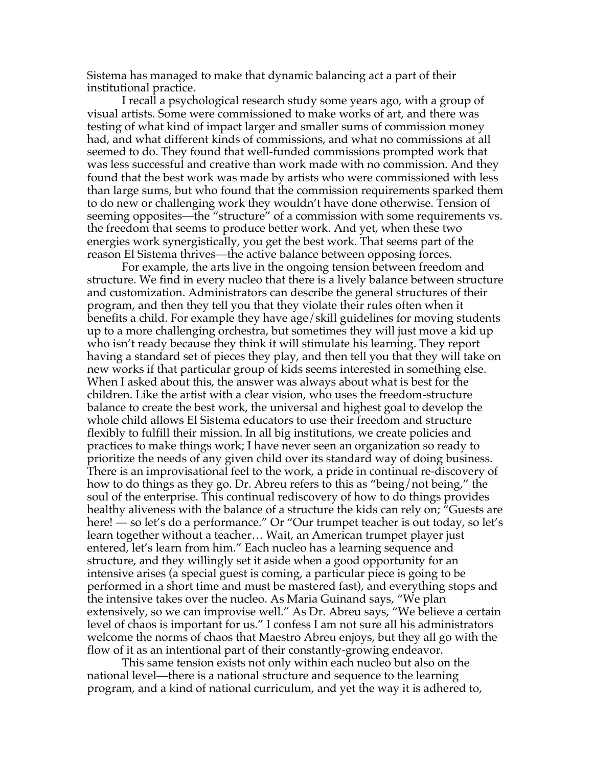Sistema has managed to make that dynamic balancing act a part of their institutional practice.

I recall a psychological research study some years ago, with a group of visual artists. Some were commissioned to make works of art, and there was testing of what kind of impact larger and smaller sums of commission money had, and what different kinds of commissions, and what no commissions at all seemed to do. They found that well-funded commissions prompted work that was less successful and creative than work made with no commission. And they found that the best work was made by artists who were commissioned with less than large sums, but who found that the commission requirements sparked them to do new or challenging work they wouldn't have done otherwise. Tension of seeming opposites—the "structure" of a commission with some requirements vs. the freedom that seems to produce better work. And yet, when these two energies work synergistically, you get the best work. That seems part of the reason El Sistema thrives—the active balance between opposing forces.

For example, the arts live in the ongoing tension between freedom and structure. We find in every nucleo that there is a lively balance between structure and customization. Administrators can describe the general structures of their program, and then they tell you that they violate their rules often when it benefits a child. For example they have age/skill guidelines for moving students up to a more challenging orchestra, but sometimes they will just move a kid up who isn't ready because they think it will stimulate his learning. They report having a standard set of pieces they play, and then tell you that they will take on new works if that particular group of kids seems interested in something else. When I asked about this, the answer was always about what is best for the children. Like the artist with a clear vision, who uses the freedom-structure balance to create the best work, the universal and highest goal to develop the whole child allows El Sistema educators to use their freedom and structure flexibly to fulfill their mission. In all big institutions, we create policies and practices to make things work; I have never seen an organization so ready to prioritize the needs of any given child over its standard way of doing business. There is an improvisational feel to the work, a pride in continual re-discovery of how to do things as they go. Dr. Abreu refers to this as "being/not being," the soul of the enterprise. This continual rediscovery of how to do things provides healthy aliveness with the balance of a structure the kids can rely on; "Guests are here! — so let's do a performance." Or "Our trumpet teacher is out today, so let's learn together without a teacher… Wait, an American trumpet player just entered, let's learn from him." Each nucleo has a learning sequence and structure, and they willingly set it aside when a good opportunity for an intensive arises (a special guest is coming, a particular piece is going to be performed in a short time and must be mastered fast), and everything stops and the intensive takes over the nucleo. As Maria Guinand says, "We plan extensively, so we can improvise well." As Dr. Abreu says, "We believe a certain level of chaos is important for us." I confess I am not sure all his administrators welcome the norms of chaos that Maestro Abreu enjoys, but they all go with the flow of it as an intentional part of their constantly-growing endeavor.

This same tension exists not only within each nucleo but also on the national level—there is a national structure and sequence to the learning program, and a kind of national curriculum, and yet the way it is adhered to,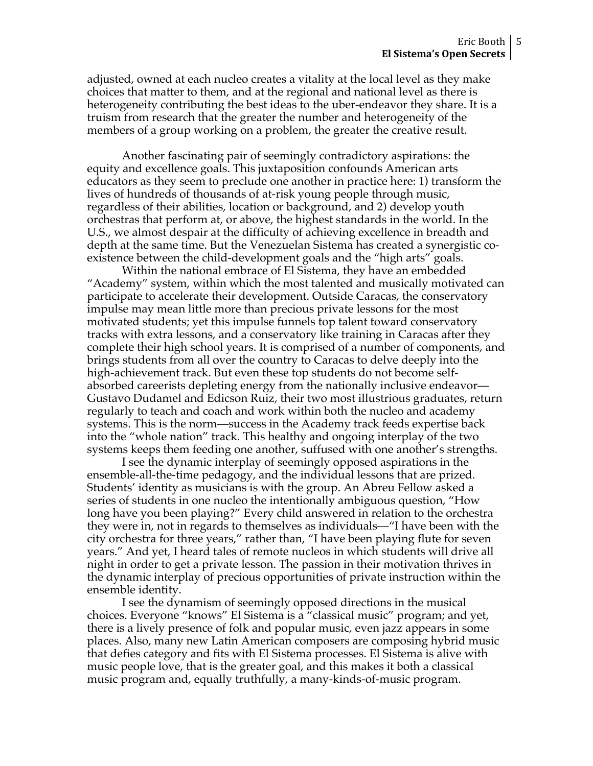adjusted, owned at each nucleo creates a vitality at the local level as they make choices that matter to them, and at the regional and national level as there is heterogeneity contributing the best ideas to the uber-endeavor they share. It is a truism from research that the greater the number and heterogeneity of the members of a group working on a problem, the greater the creative result.

Another fascinating pair of seemingly contradictory aspirations: the equity and excellence goals. This juxtaposition confounds American arts educators as they seem to preclude one another in practice here: 1) transform the lives of hundreds of thousands of at-risk young people through music, regardless of their abilities, location or background, and 2) develop youth orchestras that perform at, or above, the highest standards in the world. In the U.S., we almost despair at the difficulty of achieving excellence in breadth and depth at the same time. But the Venezuelan Sistema has created a synergistic coexistence between the child-development goals and the "high arts" goals.

Within the national embrace of El Sistema, they have an embedded "Academy" system, within which the most talented and musically motivated can participate to accelerate their development. Outside Caracas, the conservatory impulse may mean little more than precious private lessons for the most motivated students; yet this impulse funnels top talent toward conservatory tracks with extra lessons, and a conservatory like training in Caracas after they complete their high school years. It is comprised of a number of components, and brings students from all over the country to Caracas to delve deeply into the high-achievement track. But even these top students do not become selfabsorbed careerists depleting energy from the nationally inclusive endeavor— Gustavo Dudamel and Edicson Ruiz, their two most illustrious graduates, return regularly to teach and coach and work within both the nucleo and academy systems. This is the norm—success in the Academy track feeds expertise back into the "whole nation" track. This healthy and ongoing interplay of the two systems keeps them feeding one another, suffused with one another's strengths.

I see the dynamic interplay of seemingly opposed aspirations in the ensemble-all-the-time pedagogy, and the individual lessons that are prized. Students' identity as musicians is with the group. An Abreu Fellow asked a series of students in one nucleo the intentionally ambiguous question, "How long have you been playing?" Every child answered in relation to the orchestra they were in, not in regards to themselves as individuals—"I have been with the city orchestra for three years," rather than, "I have been playing flute for seven years." And yet, I heard tales of remote nucleos in which students will drive all night in order to get a private lesson. The passion in their motivation thrives in the dynamic interplay of precious opportunities of private instruction within the ensemble identity.

I see the dynamism of seemingly opposed directions in the musical choices. Everyone "knows" El Sistema is a "classical music" program; and yet, there is a lively presence of folk and popular music, even jazz appears in some places. Also, many new Latin American composers are composing hybrid music that defies category and fits with El Sistema processes. El Sistema is alive with music people love, that is the greater goal, and this makes it both a classical music program and, equally truthfully, a many-kinds-of-music program.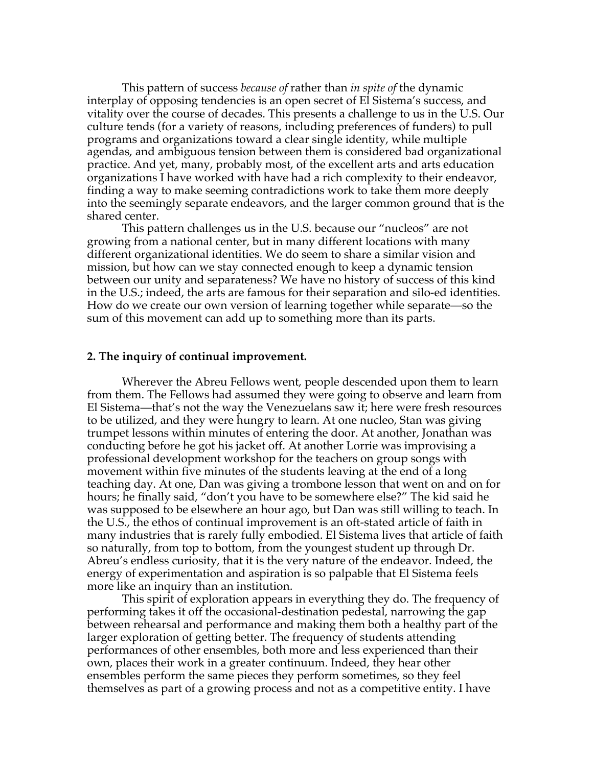This pattern of success *because of* rather than *in spite of* the dynamic interplay of opposing tendencies is an open secret of El Sistema's success, and vitality over the course of decades. This presents a challenge to us in the U.S. Our culture tends (for a variety of reasons, including preferences of funders) to pull programs and organizations toward a clear single identity, while multiple agendas, and ambiguous tension between them is considered bad organizational practice. And yet, many, probably most, of the excellent arts and arts education organizations I have worked with have had a rich complexity to their endeavor, finding a way to make seeming contradictions work to take them more deeply into the seemingly separate endeavors, and the larger common ground that is the shared center.

This pattern challenges us in the U.S. because our "nucleos" are not growing from a national center, but in many different locations with many different organizational identities. We do seem to share a similar vision and mission, but how can we stay connected enough to keep a dynamic tension between our unity and separateness? We have no history of success of this kind in the U.S.; indeed, the arts are famous for their separation and silo-ed identities. How do we create our own version of learning together while separate—so the sum of this movement can add up to something more than its parts.

### **2. The inquiry of continual improvement.**

Wherever the Abreu Fellows went, people descended upon them to learn from them. The Fellows had assumed they were going to observe and learn from El Sistema—that's not the way the Venezuelans saw it; here were fresh resources to be utilized, and they were hungry to learn. At one nucleo, Stan was giving trumpet lessons within minutes of entering the door. At another, Jonathan was conducting before he got his jacket off. At another Lorrie was improvising a professional development workshop for the teachers on group songs with movement within five minutes of the students leaving at the end of a long teaching day. At one, Dan was giving a trombone lesson that went on and on for hours; he finally said, "don't you have to be somewhere else?" The kid said he was supposed to be elsewhere an hour ago, but Dan was still willing to teach. In the U.S., the ethos of continual improvement is an oft-stated article of faith in many industries that is rarely fully embodied. El Sistema lives that article of faith so naturally, from top to bottom, from the youngest student up through Dr. Abreu's endless curiosity, that it is the very nature of the endeavor. Indeed, the energy of experimentation and aspiration is so palpable that El Sistema feels more like an inquiry than an institution.

This spirit of exploration appears in everything they do. The frequency of performing takes it off the occasional-destination pedestal, narrowing the gap between rehearsal and performance and making them both a healthy part of the larger exploration of getting better. The frequency of students attending performances of other ensembles, both more and less experienced than their own, places their work in a greater continuum. Indeed, they hear other ensembles perform the same pieces they perform sometimes, so they feel themselves as part of a growing process and not as a competitive entity. I have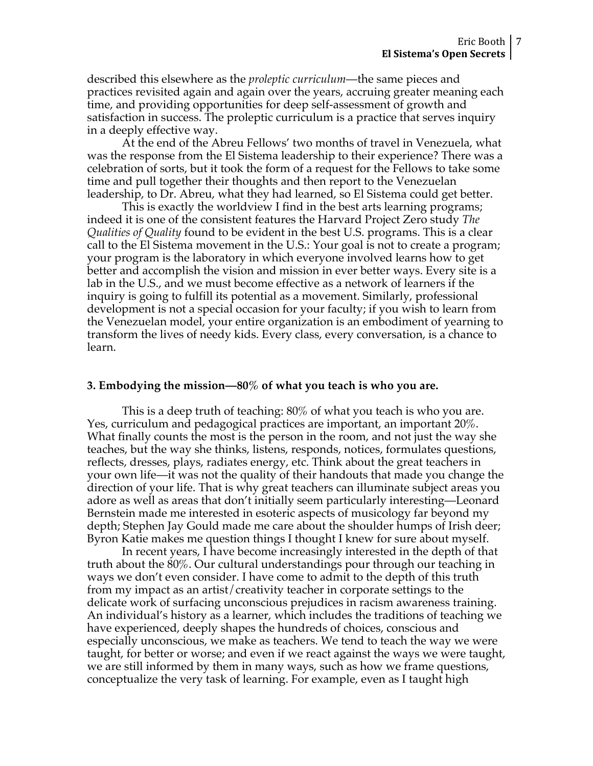described this elsewhere as the *proleptic curriculum*—the same pieces and practices revisited again and again over the years, accruing greater meaning each time, and providing opportunities for deep self-assessment of growth and satisfaction in success. The proleptic curriculum is a practice that serves inquiry in a deeply effective way.

At the end of the Abreu Fellows' two months of travel in Venezuela, what was the response from the El Sistema leadership to their experience? There was a celebration of sorts, but it took the form of a request for the Fellows to take some time and pull together their thoughts and then report to the Venezuelan leadership, to Dr. Abreu, what they had learned, so El Sistema could get better.

This is exactly the worldview I find in the best arts learning programs; indeed it is one of the consistent features the Harvard Project Zero study *The Qualities of Quality* found to be evident in the best U.S. programs. This is a clear call to the El Sistema movement in the U.S.: Your goal is not to create a program; your program is the laboratory in which everyone involved learns how to get better and accomplish the vision and mission in ever better ways. Every site is a lab in the U.S., and we must become effective as a network of learners if the inquiry is going to fulfill its potential as a movement. Similarly, professional development is not a special occasion for your faculty; if you wish to learn from the Venezuelan model, your entire organization is an embodiment of yearning to transform the lives of needy kids. Every class, every conversation, is a chance to learn.

## **3. Embodying the mission—80% of what you teach is who you are.**

This is a deep truth of teaching: 80% of what you teach is who you are. Yes, curriculum and pedagogical practices are important, an important 20%. What finally counts the most is the person in the room, and not just the way she teaches, but the way she thinks, listens, responds, notices, formulates questions, reflects, dresses, plays, radiates energy, etc. Think about the great teachers in your own life—it was not the quality of their handouts that made you change the direction of your life. That is why great teachers can illuminate subject areas you adore as well as areas that don't initially seem particularly interesting—Leonard Bernstein made me interested in esoteric aspects of musicology far beyond my depth; Stephen Jay Gould made me care about the shoulder humps of Irish deer; Byron Katie makes me question things I thought I knew for sure about myself.

In recent years, I have become increasingly interested in the depth of that truth about the 80%. Our cultural understandings pour through our teaching in ways we don't even consider. I have come to admit to the depth of this truth from my impact as an artist/creativity teacher in corporate settings to the delicate work of surfacing unconscious prejudices in racism awareness training. An individual's history as a learner, which includes the traditions of teaching we have experienced, deeply shapes the hundreds of choices, conscious and especially unconscious, we make as teachers. We tend to teach the way we were taught, for better or worse; and even if we react against the ways we were taught, we are still informed by them in many ways, such as how we frame questions, conceptualize the very task of learning. For example, even as I taught high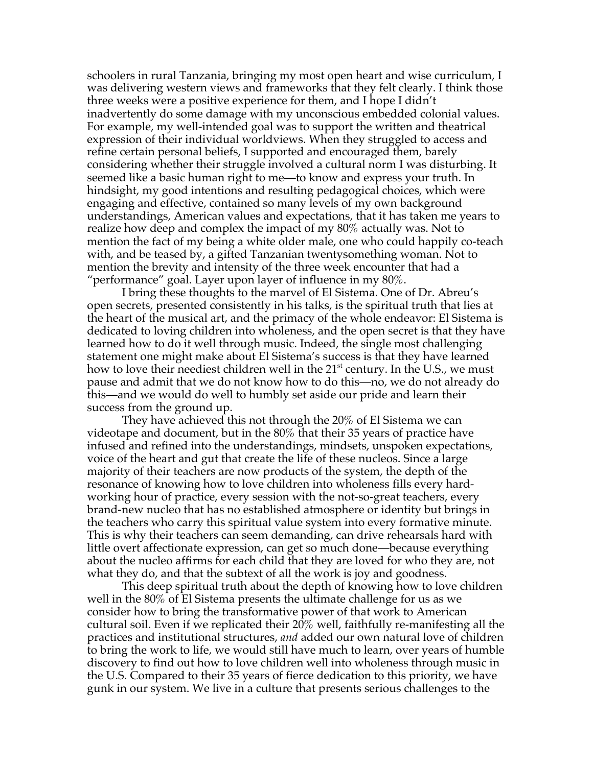schoolers in rural Tanzania, bringing my most open heart and wise curriculum, I was delivering western views and frameworks that they felt clearly. I think those three weeks were a positive experience for them, and I hope I didn't inadvertently do some damage with my unconscious embedded colonial values. For example, my well-intended goal was to support the written and theatrical expression of their individual worldviews. When they struggled to access and refine certain personal beliefs, I supported and encouraged them, barely considering whether their struggle involved a cultural norm I was disturbing. It seemed like a basic human right to me—to know and express your truth. In hindsight, my good intentions and resulting pedagogical choices, which were engaging and effective, contained so many levels of my own background understandings, American values and expectations, that it has taken me years to realize how deep and complex the impact of my 80% actually was. Not to mention the fact of my being a white older male, one who could happily co-teach with, and be teased by, a gifted Tanzanian twentysomething woman. Not to mention the brevity and intensity of the three week encounter that had a "performance" goal. Layer upon layer of influence in my  $80\%$ .

I bring these thoughts to the marvel of El Sistema. One of Dr. Abreu's open secrets, presented consistently in his talks, is the spiritual truth that lies at the heart of the musical art, and the primacy of the whole endeavor: El Sistema is dedicated to loving children into wholeness, and the open secret is that they have learned how to do it well through music. Indeed, the single most challenging statement one might make about El Sistema's success is that they have learned how to love their neediest children well in the 21<sup>st</sup> century. In the U.S., we must pause and admit that we do not know how to do this—no, we do not already do this—and we would do well to humbly set aside our pride and learn their success from the ground up.

They have achieved this not through the 20% of El Sistema we can videotape and document, but in the 80% that their 35 years of practice have infused and refined into the understandings, mindsets, unspoken expectations, voice of the heart and gut that create the life of these nucleos. Since a large majority of their teachers are now products of the system, the depth of the resonance of knowing how to love children into wholeness fills every hardworking hour of practice, every session with the not-so-great teachers, every brand-new nucleo that has no established atmosphere or identity but brings in the teachers who carry this spiritual value system into every formative minute. This is why their teachers can seem demanding, can drive rehearsals hard with little overt affectionate expression, can get so much done—because everything about the nucleo affirms for each child that they are loved for who they are, not what they do, and that the subtext of all the work is joy and goodness.

This deep spiritual truth about the depth of knowing how to love children well in the 80% of El Sistema presents the ultimate challenge for us as we consider how to bring the transformative power of that work to American cultural soil. Even if we replicated their 20% well, faithfully re-manifesting all the practices and institutional structures, *and* added our own natural love of children to bring the work to life, we would still have much to learn, over years of humble discovery to find out how to love children well into wholeness through music in the U.S. Compared to their 35 years of fierce dedication to this priority, we have gunk in our system. We live in a culture that presents serious challenges to the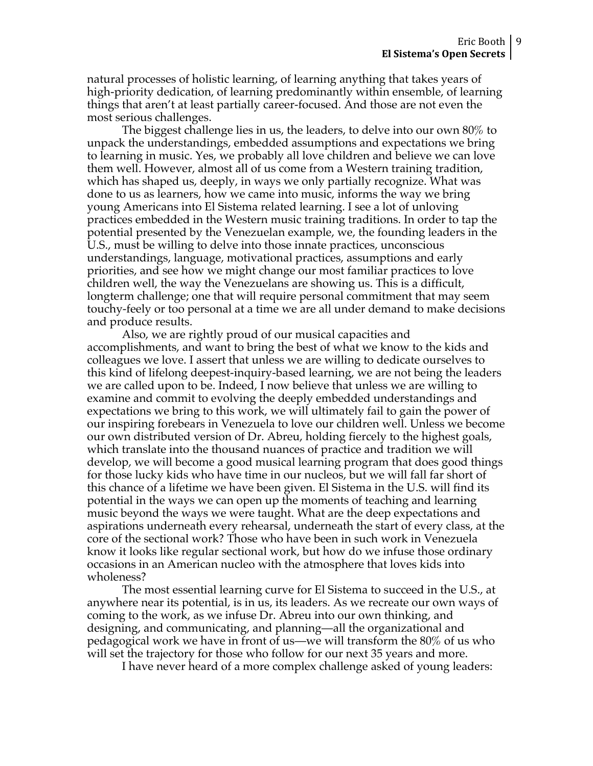natural processes of holistic learning, of learning anything that takes years of high-priority dedication, of learning predominantly within ensemble, of learning things that aren't at least partially career-focused. And those are not even the most serious challenges.

The biggest challenge lies in us, the leaders, to delve into our own 80% to unpack the understandings, embedded assumptions and expectations we bring to learning in music. Yes, we probably all love children and believe we can love them well. However, almost all of us come from a Western training tradition, which has shaped us, deeply, in ways we only partially recognize. What was done to us as learners, how we came into music, informs the way we bring young Americans into El Sistema related learning. I see a lot of unloving practices embedded in the Western music training traditions. In order to tap the potential presented by the Venezuelan example, we, the founding leaders in the U.S., must be willing to delve into those innate practices, unconscious understandings, language, motivational practices, assumptions and early priorities, and see how we might change our most familiar practices to love children well, the way the Venezuelans are showing us. This is a difficult, longterm challenge; one that will require personal commitment that may seem touchy-feely or too personal at a time we are all under demand to make decisions and produce results.

Also, we are rightly proud of our musical capacities and accomplishments, and want to bring the best of what we know to the kids and colleagues we love. I assert that unless we are willing to dedicate ourselves to this kind of lifelong deepest-inquiry-based learning, we are not being the leaders we are called upon to be. Indeed, I now believe that unless we are willing to examine and commit to evolving the deeply embedded understandings and expectations we bring to this work, we will ultimately fail to gain the power of our inspiring forebears in Venezuela to love our children well. Unless we become our own distributed version of Dr. Abreu, holding fiercely to the highest goals, which translate into the thousand nuances of practice and tradition we will develop, we will become a good musical learning program that does good things for those lucky kids who have time in our nucleos, but we will fall far short of this chance of a lifetime we have been given. El Sistema in the U.S. will find its potential in the ways we can open up the moments of teaching and learning music beyond the ways we were taught. What are the deep expectations and aspirations underneath every rehearsal, underneath the start of every class, at the core of the sectional work? Those who have been in such work in Venezuela know it looks like regular sectional work, but how do we infuse those ordinary occasions in an American nucleo with the atmosphere that loves kids into wholeness?

The most essential learning curve for El Sistema to succeed in the U.S., at anywhere near its potential, is in us, its leaders. As we recreate our own ways of coming to the work, as we infuse Dr. Abreu into our own thinking, and designing, and communicating, and planning—all the organizational and pedagogical work we have in front of us—we will transform the 80% of us who will set the trajectory for those who follow for our next 35 years and more.

I have never heard of a more complex challenge asked of young leaders: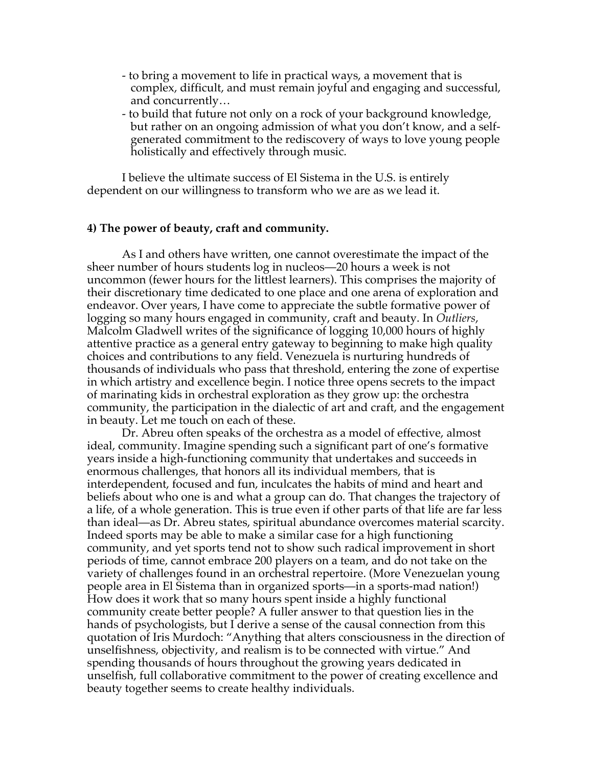- to bring a movement to life in practical ways, a movement that is complex, difficult, and must remain joyful and engaging and successful, and concurrently…
- to build that future not only on a rock of your background knowledge, but rather on an ongoing admission of what you don't know, and a selfgenerated commitment to the rediscovery of ways to love young people holistically and effectively through music.

I believe the ultimate success of El Sistema in the U.S. is entirely dependent on our willingness to transform who we are as we lead it.

## **4) The power of beauty, craft and community.**

As I and others have written, one cannot overestimate the impact of the sheer number of hours students log in nucleos—20 hours a week is not uncommon (fewer hours for the littlest learners). This comprises the majority of their discretionary time dedicated to one place and one arena of exploration and endeavor. Over years, I have come to appreciate the subtle formative power of logging so many hours engaged in community, craft and beauty. In *Outliers*, Malcolm Gladwell writes of the significance of logging 10,000 hours of highly attentive practice as a general entry gateway to beginning to make high quality choices and contributions to any field. Venezuela is nurturing hundreds of thousands of individuals who pass that threshold, entering the zone of expertise in which artistry and excellence begin. I notice three opens secrets to the impact of marinating kids in orchestral exploration as they grow up: the orchestra community, the participation in the dialectic of art and craft, and the engagement in beauty. Let me touch on each of these.

Dr. Abreu often speaks of the orchestra as a model of effective, almost ideal, community. Imagine spending such a significant part of one's formative years inside a high-functioning community that undertakes and succeeds in enormous challenges, that honors all its individual members, that is interdependent, focused and fun, inculcates the habits of mind and heart and beliefs about who one is and what a group can do. That changes the trajectory of a life, of a whole generation. This is true even if other parts of that life are far less than ideal—as Dr. Abreu states, spiritual abundance overcomes material scarcity. Indeed sports may be able to make a similar case for a high functioning community, and yet sports tend not to show such radical improvement in short periods of time, cannot embrace 200 players on a team, and do not take on the variety of challenges found in an orchestral repertoire. (More Venezuelan young people area in El Sistema than in organized sports—in a sports-mad nation!) How does it work that so many hours spent inside a highly functional community create better people? A fuller answer to that question lies in the hands of psychologists, but I derive a sense of the causal connection from this quotation of Iris Murdoch: "Anything that alters consciousness in the direction of unselfishness, objectivity, and realism is to be connected with virtue." And spending thousands of hours throughout the growing years dedicated in unselfish, full collaborative commitment to the power of creating excellence and beauty together seems to create healthy individuals.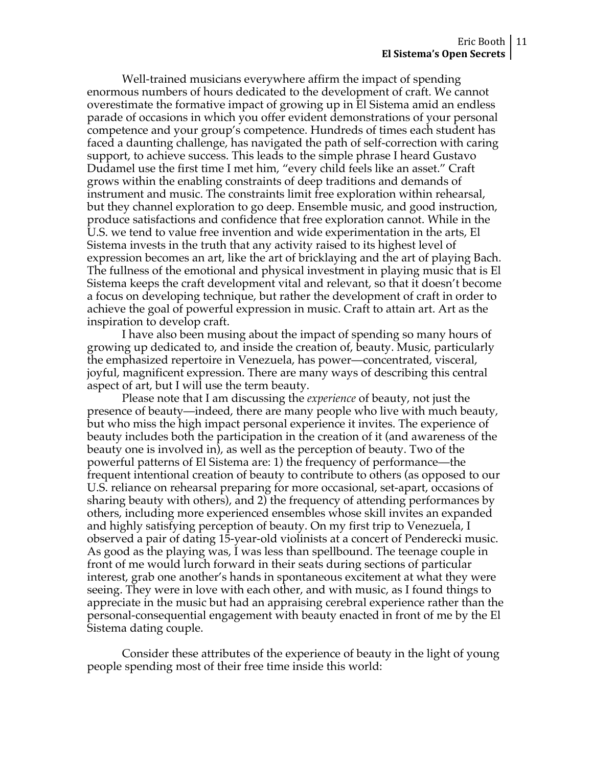Well-trained musicians everywhere affirm the impact of spending enormous numbers of hours dedicated to the development of craft. We cannot overestimate the formative impact of growing up in El Sistema amid an endless parade of occasions in which you offer evident demonstrations of your personal competence and your group's competence. Hundreds of times each student has faced a daunting challenge, has navigated the path of self-correction with caring support, to achieve success. This leads to the simple phrase I heard Gustavo Dudamel use the first time I met him, "every child feels like an asset." Craft grows within the enabling constraints of deep traditions and demands of instrument and music. The constraints limit free exploration within rehearsal, but they channel exploration to go deep. Ensemble music, and good instruction, produce satisfactions and confidence that free exploration cannot. While in the U.S. we tend to value free invention and wide experimentation in the arts, El Sistema invests in the truth that any activity raised to its highest level of expression becomes an art, like the art of bricklaying and the art of playing Bach. The fullness of the emotional and physical investment in playing music that is El Sistema keeps the craft development vital and relevant, so that it doesn't become a focus on developing technique, but rather the development of craft in order to achieve the goal of powerful expression in music. Craft to attain art. Art as the inspiration to develop craft.

I have also been musing about the impact of spending so many hours of growing up dedicated to, and inside the creation of, beauty. Music, particularly the emphasized repertoire in Venezuela, has power—concentrated, visceral, joyful, magnificent expression. There are many ways of describing this central aspect of art, but I will use the term beauty.

Please note that I am discussing the *experience* of beauty, not just the presence of beauty—indeed, there are many people who live with much beauty, but who miss the high impact personal experience it invites. The experience of beauty includes both the participation in the creation of it (and awareness of the beauty one is involved in), as well as the perception of beauty. Two of the powerful patterns of El Sistema are: 1) the frequency of performance—the frequent intentional creation of beauty to contribute to others (as opposed to our U.S. reliance on rehearsal preparing for more occasional, set-apart, occasions of sharing beauty with others), and 2) the frequency of attending performances by others, including more experienced ensembles whose skill invites an expanded and highly satisfying perception of beauty. On my first trip to Venezuela, I observed a pair of dating 15-year-old violinists at a concert of Penderecki music. As good as the playing was, I was less than spellbound. The teenage couple in front of me would lurch forward in their seats during sections of particular interest, grab one another's hands in spontaneous excitement at what they were seeing. They were in love with each other, and with music, as I found things to appreciate in the music but had an appraising cerebral experience rather than the personal-consequential engagement with beauty enacted in front of me by the El Sistema dating couple.

Consider these attributes of the experience of beauty in the light of young people spending most of their free time inside this world: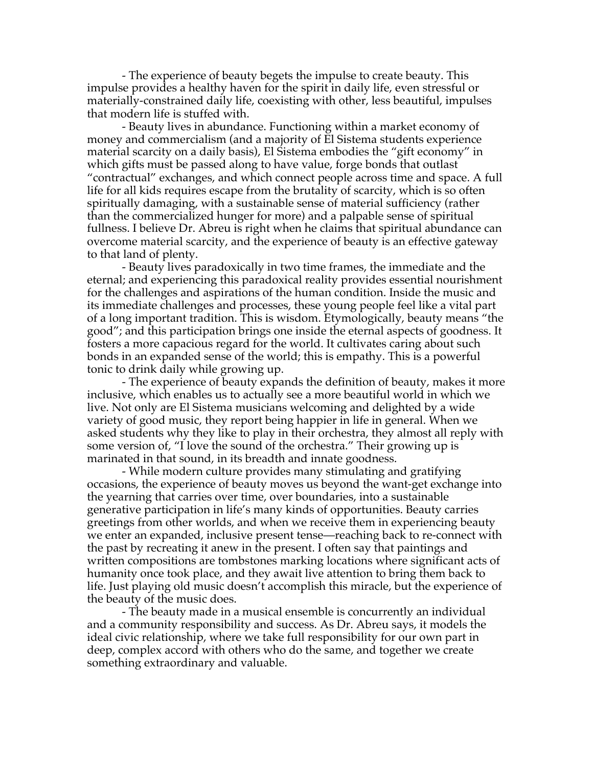- The experience of beauty begets the impulse to create beauty. This impulse provides a healthy haven for the spirit in daily life, even stressful or materially-constrained daily life, coexisting with other, less beautiful, impulses that modern life is stuffed with.

- Beauty lives in abundance. Functioning within a market economy of money and commercialism (and a majority of El Sistema students experience material scarcity on a daily basis), El Sistema embodies the "gift economy" in which gifts must be passed along to have value, forge bonds that outlast "contractual" exchanges, and which connect people across time and space. A full life for all kids requires escape from the brutality of scarcity, which is so often spiritually damaging, with a sustainable sense of material sufficiency (rather than the commercialized hunger for more) and a palpable sense of spiritual fullness. I believe Dr. Abreu is right when he claims that spiritual abundance can overcome material scarcity, and the experience of beauty is an effective gateway to that land of plenty.

- Beauty lives paradoxically in two time frames, the immediate and the eternal; and experiencing this paradoxical reality provides essential nourishment for the challenges and aspirations of the human condition. Inside the music and its immediate challenges and processes, these young people feel like a vital part of a long important tradition. This is wisdom. Etymologically, beauty means "the good"; and this participation brings one inside the eternal aspects of goodness. It fosters a more capacious regard for the world. It cultivates caring about such bonds in an expanded sense of the world; this is empathy. This is a powerful tonic to drink daily while growing up.

- The experience of beauty expands the definition of beauty, makes it more inclusive, which enables us to actually see a more beautiful world in which we live. Not only are El Sistema musicians welcoming and delighted by a wide variety of good music, they report being happier in life in general. When we asked students why they like to play in their orchestra, they almost all reply with some version of, "I love the sound of the orchestra." Their growing up is marinated in that sound, in its breadth and innate goodness.

- While modern culture provides many stimulating and gratifying occasions, the experience of beauty moves us beyond the want-get exchange into the yearning that carries over time, over boundaries, into a sustainable generative participation in life's many kinds of opportunities. Beauty carries greetings from other worlds, and when we receive them in experiencing beauty we enter an expanded, inclusive present tense—reaching back to re-connect with the past by recreating it anew in the present. I often say that paintings and written compositions are tombstones marking locations where significant acts of humanity once took place, and they await live attention to bring them back to life. Just playing old music doesn't accomplish this miracle, but the experience of the beauty of the music does.

- The beauty made in a musical ensemble is concurrently an individual and a community responsibility and success. As Dr. Abreu says, it models the ideal civic relationship, where we take full responsibility for our own part in deep, complex accord with others who do the same, and together we create something extraordinary and valuable.